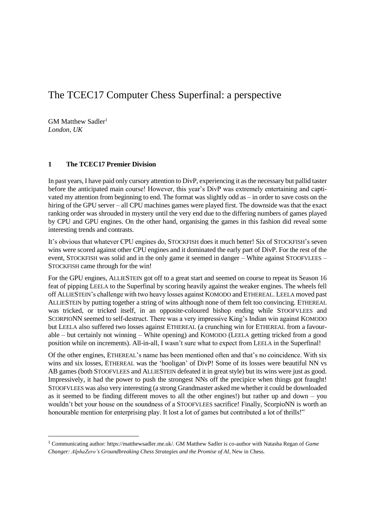# The TCEC17 Computer Chess Superfinal: a perspective

GM Matthew Sadler<sup>1</sup> *London, UK*

## **1 The TCEC17 Premier Division**

In past years, I have paid only cursory attention to DivP, experiencing it as the necessary but pallid taster before the anticipated main course! However, this year's DivP was extremely entertaining and captivated my attention from beginning to end. The format was slightly odd as – in order to save costs on the hiring of the GPU server – all CPU machines games were played first. The downside was that the exact ranking order was shrouded in mystery until the very end due to the differing numbers of games played by CPU and GPU engines. On the other hand, organising the games in this fashion did reveal some interesting trends and contrasts.

It's obvious that whatever CPU engines do, STOCKFISH does it much better! Six of STOCKFISH's seven wins were scored against other CPU engines and it dominated the early part of DivP. For the rest of the event, STOCKFISH was solid and in the only game it seemed in danger – White against STOOFVLEES – STOCKFISH came through for the win!

For the GPU engines, ALLIESTEIN got off to a great start and seemed on course to repeat its Season 16 feat of pipping LEELA to the Superfinal by scoring heavily against the weaker engines. The wheels fell off ALLIESTEIN's challenge with two heavy losses against KOMODO and ETHEREAL. LEELA moved past ALLIESTEIN by putting together a string of wins although none of them felt too convincing. ETHEREAL was tricked, or tricked itself, in an opposite-coloured bishop ending while STOOFVLEES and SCORPIONN seemed to self-destruct. There was a very impressive King's Indian win against KOMODO but LEELA also suffered two losses against ETHEREAL (a crunching win for ETHEREAL from a favourable – but certainly not winning – White opening) and KOMODO (LEELA getting tricked from a good position while on increments). All-in-all, I wasn't sure what to expect from LEELA in the Superfinal!

Of the other engines, ETHEREAL's name has been mentioned often and that's no coincidence. With six wins and six losses, ETHEREAL was the 'hooligan' of DivP! Some of its losses were beautiful NN vs AB games (both STOOFVLEES and ALLIESTEIN defeated it in great style) but its wins were just as good. Impressively, it had the power to push the strongest NNs off the precipice when things got fraught! STOOFVLEES was also very interesting (a strong Grandmaster asked me whether it could be downloaded as it seemed to be finding different moves to all the other engines!) but rather up and down – you wouldn't bet your house on the soundness of a STOOFVLEES sacrifice! Finally, ScorpioNN is worth an honourable mention for enterprising play. It lost a lot of games but contributed a lot of thrills!"

<sup>1</sup> Communicating author: [https://matthewsadler.me.uk/.](https://matthewsadler.me.uk/) GM Matthew Sadler is co-author with Natasha Regan of *Game Changer: AlphaZero's Groundbreaking Chess Strategies and the Promise of AI*, New in Chess*.*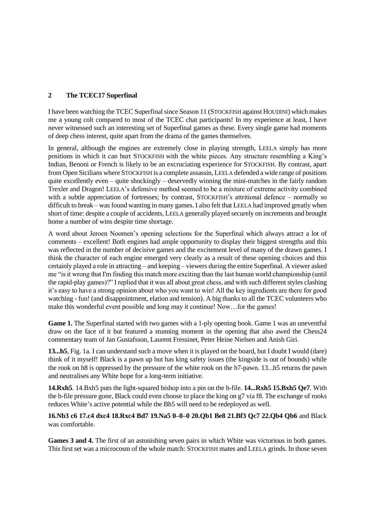## **2 The TCEC17 Superfinal**

I have been watching the TCEC Superfinal since Season 11 (STOCKFISH against HOUDINI) which makes me a young colt compared to most of the TCEC chat participants! In my experience at least, I have never witnessed such an interesting set of Superfinal games as these. Every single game had moments of deep chess interest, quite apart from the drama of the games themselves.

In general, although the engines are extremely close in playing strength, LEELA simply has more positions in which it can hurt STOCKFISH with the white pieces. Any structure resembling a King's Indian, Benoni or French is likely to be an excruciating experience for STOCKFISH. By contrast, apart from Open Sicilians where STOCKFISH is a complete assassin, LEELA defended a wide range of positions quite excellently even – quite shockingly – deservedly winning the mini-matches in the fairly random Trexler and Dragon! LEELA's defensive method seemed to be a mixture of extreme activity combined with a subtle appreciation of fortresses; by contrast, STOCKFISH's attritional defence – normally so difficult to break – was found wanting in many games. I also felt that LEELA had improved greatly when short of time: despite a couple of accidents, LEELA generally played securely on increments and brought home a number of wins despite time shortage.

A word about Jeroen Noomen's opening selections for the Superfinal which always attract a lot of comments – excellent! Both engines had ample opportunity to display their biggest strengths and this was reflected in the number of decisive games and the excitement level of many of the drawn games. I think the character of each engine emerged very clearly as a result of these opening choices and this certainly played a role in attracting – and keeping – viewers during the entire Superfinal. A viewer asked me "is it wrong that I'm finding this match more exciting than the last human world championship (until the rapid-play games)?" I replied that it was all about great chess, and with such different styles clashing it's easy to have a strong opinion about who you want to win! All the key ingredients are there for good watching - fun! (and disappointment, elation and tension). A big thanks to all the TCEC volunteers who make this wonderful event possible and long may it continue! Now…for the games!

Game 1. The Superfinal started with two games with a 1-ply opening book. Game 1 was an uneventful draw on the face of it but featured a stunning moment in the opening that also awed the Chess24 commentary team of Jan Gustafsson, Laurent Fressinet, Peter Heine Nielsen and Anish Giri.

**13...h5**, Fig. 1a. I can understand such a move when it is played on the board, but I doubt I would (dare) think of it myself! Black is a pawn up but has king safety issues (the kingside is out of bounds) while the rook on h8 is oppressed by the pressure of the white rook on the h7-pawn. 13...h5 returns the pawn and neutralises any White hope for a long-term initiative.

**14.Rxh5**. 14.Bxh5 puts the light-squared bishop into a pin on the h-file. **14...Rxh5 15.Bxh5 Qe7**. With the h-file pressure gone, Black could even choose to place the king on g7 via f8. The exchange of rooks reduces White's active potential while the Bh5 will need to be redeployed as well.

**16.Nb3 c6 17.c4 dxc4 18.Rxc4 Bd7 19.Na5 0–0–0 20.Qb1 Be8 21.Bf3 Qc7 22.Qb4 Qb6** and Black was comfortable.

**Games 3 and 4.** The first of an astonishing seven pairs in which White was victorious in both games. This first set was a microcosm of the whole match: STOCKFISH mates and LEELA grinds. In those seven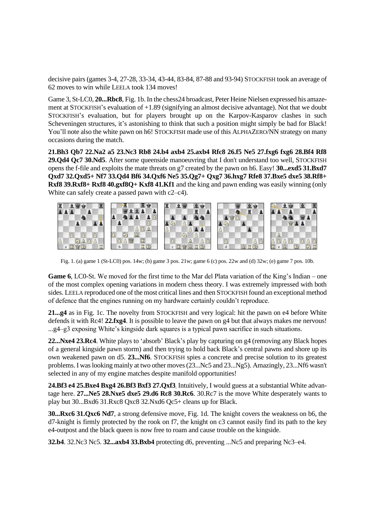decisive pairs (games 3-4, 27-28, 33-34, 43-44, 83-84, 87-88 and 93-94) STOCKFISH took an average of 62 moves to win while LEELA took 134 moves!

Game 3, St-LC0, 20...Rbc8, Fig. 1b. In the chess24 broadcast, Peter Heine Nielsen expressed his amazement at STOCKFISH's evaluation of  $+1.89$  (signifying an almost decisive advantage). Not that we doubt STOCKFISH's evaluation, but for players brought up on the Karpov-Kasparov clashes in such Scheveningen structures, it's astonishing to think that such a position might simply be bad for Black! You'll note also the white pawn on h6! STOCKFISH made use of this ALPHAZERO/NN strategy on many occasions during the match.

**21.Bh3 Qb7 22.Na2 a5 23.Nc3 Rb8 24.b4 axb4 25.axb4 Rfc8 26.f5 Ne5 27.fxg6 fxg6 28.Bf4 Rf8 29.Qd4 Qc7 30.Nd5**. After some queenside manoeuvring that I don't understand too well, STOCKFISH opens the f-file and exploits the mate threats on g7 created by the pawn on h6. Easy! **30...exd5 31.Bxd7 Qxd7 32.Qxd5+ Nf7 33.Qd4 Bf6 34.Qxf6 Ne5 35.Qg7+ Qxg7 36.hxg7 Rfe8 37.Bxe5 dxe5 38.Rf8+ Rxf8 39.Rxf8+ Rxf8 40.gxf8Q+ Kxf8 41.Kf1** and the king and pawn ending was easily winning (only White can safely create a passed pawn with c2–c4).



Fig. 1. (a) game 1 (St-LC0) pos. 14w; (b) game 3 pos. 21w; game 6 (c) pos. 22w and (d) 32w; (e) game 7 pos. 10b.

**Game 6**, LC0-St. We moved for the first time to the Mar del Plata variation of the King's Indian – one of the most complex opening variations in modern chess theory. I was extremely impressed with both sides. LEELA reproduced one of the most critical lines and then STOCKFISH found an exceptional method of defence that the engines running on my hardware certainly couldn't reproduce.

**21...g4** as in Fig. 1c. The novelty from STOCKFISH and very logical: hit the pawn on e4 before White defends it with Rc4! **22.fxg4**. It is possible to leave the pawn on g4 but that always makes me nervous! ...g4–g3 exposing White's kingside dark squares is a typical pawn sacrifice in such situations.

**22...Nxe4 23.Rc4**. White plays to 'absorb' Black's play by capturing on g4 (removing any Black hopes of a general kingside pawn storm) and then trying to hold back Black's central pawns and shore up its own weakened pawn on d5. **23...Nf6**. STOCKFISH spies a concrete and precise solution to its greatest problems. I was looking mainly at two other moves(23...Nc5 and 23...Ng5). Amazingly, 23...Nf6 wasn't selected in any of my engine matches despite manifold opportunities!

**24.Bf3 e4 25.Bxe4 Bxg4 26.Bf3 Bxf3 27.Qxf3.** Intuitively, I would guess at a substantial White advantage here. **27...Ne5 28.Nxe5 dxe5 29.d6 Rc8 30.Rc6**. 30.Rc7 is the move White desperately wants to play but 30...Bxd6 31.Rxc8 Qxc8 32.Nxd6 Qc5+ cleans up for Black.

**30...Rxc6 31.Qxc6 Nd7**, a strong defensive move, Fig. 1d. The knight covers the weakness on b6, the d7-knight is firmly protected by the rook on f7, the knight on c3 cannot easily find its path to the key e4-outpost and the black queen is now free to roam and cause trouble on the kingside.

**32.b4**. 32.Nc3 Nc5. **32...axb4 33.Bxb4** protecting d6, preventing ...Nc5 and preparing Nc3–e4.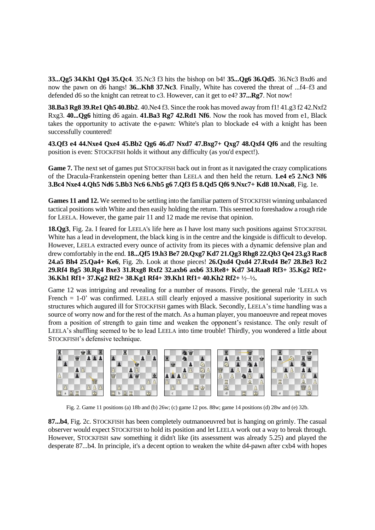**33...Qg5 34.Kh1 Qg4 35.Qc4**. 35.Nc3 f3 hits the bishop on b4! **35...Qg6 36.Qd5**. 36.Nc3 Bxd6 and now the pawn on d6 hangs! **36...Kh8 37.Nc3**. Finally, White has covered the threat of ...f4–f3 and defended d6 so the knight can retreat to c3. However, can it get to e4? **37...Rg7**. Not now!

**38.Ba3 Rg8 39.Re1 Qh5 40.Bb2**. 40.Ne4 f3. Since the rook has moved away from f1! 41.g3 f2 42.Nxf2 Rxg3. **40...Qg6** hitting d6 again. **41.Ba3 Rg7 42.Rd1 Nf6**. Now the rook has moved from e1, Black takes the opportunity to activate the e-pawn: White's plan to blockade e4 with a knight has been successfully countered!

**43.Qf3 e4 44.Nxe4 Qxe4 45.Bb2 Qg6 46.d7 Nxd7 47.Bxg7+ Qxg7 48.Qxf4 Qf6** and the resulting position is even: STOCKFISH holds it without any difficulty (as you'd expect!).

Game 7. The next set of games put STOCKFISH back out in front as it navigated the crazy complications of the Dracula-Frankenstein opening better than LEELA and then held the return. **1.e4 e5 2.Nc3 Nf6 3.Bc4 Nxe4 4.Qh5 Nd6 5.Bb3 Nc6 6.Nb5 g6 7.Qf3 f5 8.Qd5 Qf6 9.Nxc7+ Kd8 10.Nxa8**, Fig. 1e.

**Games 11 and 12.** We seemed to be settling into the familiar pattern of STOCKFISH winning unbalanced tactical positions with White and then easily holding the return. This seemed to foreshadow a rough ride for LEELA. However, the game pair 11 and 12 made me revise that opinion.

**18.Qg3**, Fig. 2a. I feared for LEELA's life here as I have lost many such positions against STOCKFISH. White has a lead in development, the black king is in the centre and the kingside is difficult to develop. However, LEELA extracted every ounce of activity from its pieces with a dynamic defensive plan and drew comfortably in the end. **18...Qf5 19.h3 Be7 20.Qxg7 Kd7 21.Qg3 Rhg8 22.Qb3 Qe4 23.g3 Rac8 24.a5 Bh4 25.Qa4+ Ke6**, Fig. 2b. Look at those pieces! **26.Qxd4 Qxd4 27.Rxd4 Be7 28.Be3 Rc2 29.Rf4 Bg5 30.Rg4 Bxe3 31.Rxg8 Rxf2 32.axb6 axb6 33.Re8+ Kd7 34.Raa8 Rf3+ 35.Kg2 Rf2+ 36.Kh1 Rf1+ 37.Kg2 Rf2+ 38.Kg1 Rf4+ 39.Kh1 Rf1+ 40.Kh2 Rf2+** ½–½**.**

Game 12 was intriguing and revealing for a number of reasons. Firstly, the general rule 'LEELA vs French = 1-0' was confirmed. LEELA still clearly enjoyed a massive positional superiority in such structures which augured ill for STOCKFISH games with Black. Secondly, LEELA's time handling was a source of worry now and for the rest of the match. As a human player, you manoeuvre and repeat moves from a position of strength to gain time and weaken the opponent's resistance. The only result of LEELA's shuffling seemed to be to lead LEELA into time trouble! Thirdly, you wondered a little about STOCKFISH's defensive technique.



Fig. 2. Game 11 positions (a) 18b and (b) 26w; (c) game 12 pos. 88w; game 14 positions (d) 28w and (e) 32b.

**87...b4**, Fig. 2c. STOCKFISH has been completely outmanoeuvred but is hanging on grimly. The casual observer would expect STOCKFISH to hold its position and let LEELA work out a way to break through. However, STOCKFISH saw something it didn't like (its assessment was already 5.25) and played the desperate 87...b4. In principle, it's a decent option to weaken the white d4-pawn after cxb4 with hopes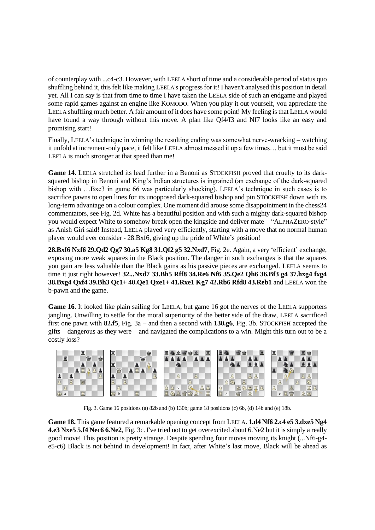of counterplay with ...c4-c3. However, with LEELA short of time and a considerable period of status quo shuffling behind it, this felt like making LEELA's progress for it! I haven't analysed this position in detail yet. All I can say is that from time to time I have taken the LEELA side of such an endgame and played some rapid games against an engine like KOMODO. When you play it out yourself, you appreciate the LEELA shuffling much better. A fair amount of it does have some point! My feeling is that LEELA would have found a way through without this move. A plan like Qf4/f3 and Nf7 looks like an easy and promising start!

Finally, LEELA's technique in winning the resulting ending was somewhat nerve-wracking – watching it unfold at increment-only pace, it felt like LEELA almost messed it up a few times… but it must be said LEELA is much stronger at that speed than me!

**Game 14.** LEELA stretched its lead further in a Benoni as STOCKFISH proved that cruelty to its darksquared bishop in Benoni and King's Indian structures is ingrained (an exchange of the dark-squared bishop with …Bxc3 in game 66 was particularly shocking). LEELA's technique in such cases is to sacrifice pawns to open lines for its unopposed dark-squared bishop and pin STOCKFISH down with its long-term advantage on a colour complex. One moment did arouse some disappointment in the chess24 commentators, see Fig. 2d. White has a beautiful position and with such a mighty dark-squared bishop you would expect White to somehow break open the kingside and deliver mate – "ALPHAZERO-style" as Anish Giri said! Instead, LEELA played very efficiently, starting with a move that no normal human player would ever consider - 28.Bxf6, giving up the pride of White's position!

**28.Bxf6 Nxf6 29.Qd2 Qg7 30.a5 Kg8 31.Qf2 g5 32.Nxd7**, Fig. 2e. Again, a very 'efficient' exchange, exposing more weak squares in the Black position. The danger in such exchanges is that the squares you gain are less valuable than the Black gains as his passive pieces are exchanged. LEELA seems to time it just right however! **32...Nxd7 33.Bh5 Rff8 34.Re6 Nf6 35.Qe2 Qh6 36.Bf3 g4 37.hxg4 fxg4 38.Bxg4 Qxf4 39.Bh3 Qc1+ 40.Qe1 Qxe1+ 41.Rxe1 Kg7 42.Rb6 Rfd8 43.Reb1** and LEELA won the b-pawn and the game.

**Game 16**. It looked like plain sailing for LEELA, but game 16 got the nerves of the LEELA supporters jangling. Unwilling to settle for the moral superiority of the better side of the draw, LEELA sacrificed first one pawn with **82.f5**, Fig. 3a – and then a second with **130.g6**, Fig. 3b. STOCKFISH accepted the gifts – dangerous as they were – and navigated the complications to a win. Might this turn out to be a costly loss?



Fig. 3. Game 16 positions (a) 82b and (b) 130b; game 18 positions (c) 6b, (d) 14b and (e) 18b.

**Game 18.** This game featured a remarkable opening concept from LEELA. **1.d4 Nf6 2.c4 e5 3.dxe5 Ng4 4.e3 Nxe5 5.f4 Nec6 6.Ne2**, Fig. 3c. I've tried not to get overexcited about 6.Ne2 but it is simply a really good move! This position is pretty strange. Despite spending four moves moving its knight (...Nf6-g4 e5-c6) Black is not behind in development! In fact, after White's last move, Black will be ahead as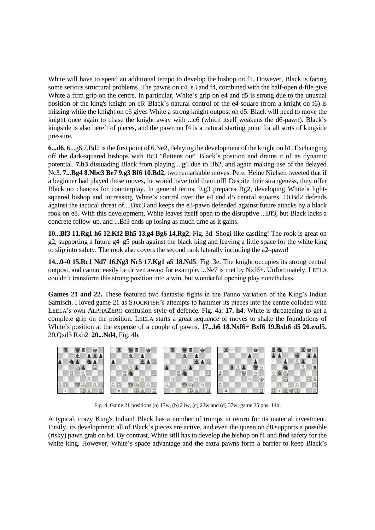White will have to spend an additional tempo to develop the bishop on f1. However, Black is facing some serious structural problems. The pawns on c4, e3 and f4, combined with the half-open d-file give White a firm grip on the centre. In particular, White's grip on e4 and d5 is strong due to the unusual position of the king's knight on c6: Black's natural control of the e4-square (from a knight on f6) is missing while the knight on c6 gives White a strong knight outpost on d5. Black will need to move the knight once again to chase the knight away with ...c6 (which itself weakens the d6-pawn). Black's kingside is also bereft of pieces, and the pawn on f4 is a natural starting point for all sorts of kingside pressure.

**6...d6**. 6...g6 7.Bd2 is the first point of 6.Ne2, delaying the development of the knight on b1. Exchanging off the dark-squared bishops with Bc3 "flattens out" Black's position and drains it of its dynamic potential. **7.b3** dissuading Black from playing ...g6 due to Bb2, and again making use of the delayed Nc3. **7...Bg4 8.Nbc3 Be7 9.g3 Bf6 10.Bd2**, two remarkable moves. Peter Heine Nielsen tweeted that if a beginner had played these moves, he would have told them off! Despite their strangeness, they offer Black no chances for counterplay. In general terms, 9.g3 prepares Bg2, developing White's lightsquared bishop and increasing White's control over the e4 and d5 central squares. 10.Bd2 defends against the tactical threat of ...Bxc3 and keeps the e3-pawn defended against future attacks by a black rook on e8. With this development, White leaves itself open to the disruptive ...Bf3, but Black lacks a concrete follow-up, and ...Bf3 ends up losing as much time as it gains.

**10...Bf3 11.Rg1 h6 12.Kf2 Bh5 13.g4 Bg6 14.Rg2**, Fig. 3d. Shogi-like castling! The rook is great on g2, supporting a future g4–g5 push against the black king and leaving a little space for the white king to slip into safety. The rook also covers the second rank laterally including the a2–pawn!

**14...0–0 15.Rc1 Nd7 16.Ng3 Nc5 17.Kg1 a5 18.Nd5**, Fig. 3e. The knight occupies its strong central outpost, and cannot easily be driven away: for example, ...Ne7 is met by Nxf6+. Unfortunately, LEELA couldn't transform this strong position into a win, but wonderful opening play nonetheless.

Games 21 and 22. These featured two fantastic fights in the Panno variation of the King's Indian Samisch. I loved game 21 as STOCKFISH's attempts to hammer its pieces into the centre collided with LEELA's own ALPHAZERO-confusion style of defence. Fig. 4a: **17. h4**. White is threatening to get a complete grip on the position. LEELA starts a great sequence of moves to shake the foundations of White's position at the expense of a couple of pawns. **17...h6 18.Nxf6+ Bxf6 19.Bxh6 d5 20.exd5.** 20.Qxd5 Rxb2. **20...Nd4**, Fig. 4b.



Fig. 4. Game 21 positions (a) 17w, (b) 21w, (c) 22w and (d) 37w; game 25 pos. 14b.

A typical, crazy King's Indian! Black has a number of trumps in return for its material investment. Firstly, its development: all of Black's pieces are active, and even the queen on d8 supports a possible (risky) pawn grab on h4. By contrast, White still has to develop the bishop on f1 and find safety for the white king. However, White's space advantage and the extra pawns form a barrier to keep Black's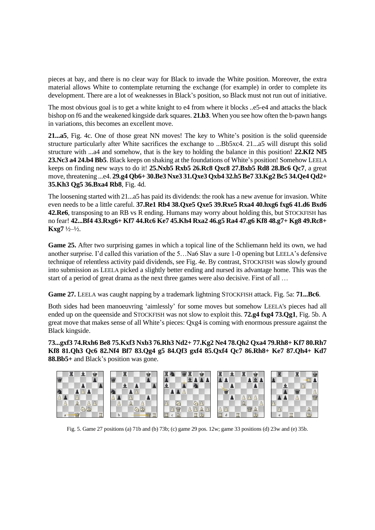pieces at bay, and there is no clear way for Black to invade the White position. Moreover, the extra material allows White to contemplate returning the exchange (for example) in order to complete its development. There are a lot of weaknesses in Black's position, so Black must not run out of initiative.

The most obvious goal is to get a white knight to e4 from where it blocks ..e5-e4 and attacks the black bishop on f6 and the weakened kingside dark squares. **21.b3**. When you see how often the b-pawn hangs in variations, this becomes an excellent move.

**21...a5**, Fig. 4c. One of those great NN moves! The key to White's position is the solid queenside structure particularly after White sacrifices the exchange to ...Bb5xc4. 21...a5 will disrupt this solid structure with ...a4 and somehow, that is the key to holding the balance in this position! **22.Kf2 Nf5 23.Nc3 a4 24.b4 Bb5**. Black keeps on shaking at the foundations of White's position! Somehow LEELA keeps on finding new ways to do it! **25.Nxb5 Rxb5 26.Rc8 Qxc8 27.Bxb5 Rd8 28.Bc6 Qc7**, a great move, threatening ...e4. **29.g4 Qb6+ 30.Be3 Nxe3 31.Qxe3 Qxb4 32.h5 Be7 33.Kg2 Bc5 34.Qe4 Qd2+ 35.Kh3 Qg5 36.Bxa4 Rb8**, Fig. 4d.

The loosening started with 21...a5 has paid its dividends: the rook has a new avenue for invasion. White even needs to be a little careful. **37.Re1 Rb4 38.Qxe5 Qxe5 39.Rxe5 Rxa4 40.hxg6 fxg6 41.d6 Bxd6 42.Re6**, transposing to an RB vs R ending. Humans may worry about holding this, but STOCKFISH has no fear! **42...Bf4 43.Rxg6+ Kf7 44.Rc6 Ke7 45.Kh4 Rxa2 46.g5 Ra4 47.g6 Kf8 48.g7+ Kg8 49.Rc8+ Kxg7** ½–½.

**Game 25.** After two surprising games in which a topical line of the Schliemann held its own, we had another surprise. I'd called this variation of the 5…Na6 Slav a sure 1-0 opening but LEELA's defensive technique of relentless activity paid dividends, see Fig. 4e. By contrast, STOCKFISH was slowly ground into submission as LEELA picked a slightly better ending and nursed its advantage home. This was the start of a period of great drama as the next three games were also decisive. First of all …

**Game 27.** LEELA was caught napping by a trademark lightning STOCKFISH attack. Fig. 5a: **71...Bc6**.

Both sides had been manoeuvring 'aimlessly' for some moves but somehow LEELA's pieces had all ended up on the queenside and STOCKFISH was not slow to exploit this. **72.g4 fxg4 73.Qg1**, Fig. 5b. A great move that makes sense of all White's pieces: Qxg4 is coming with enormous pressure against the Black kingside.

**73...gxf3 74.Rxh6 Be8 75.Kxf3 Nxb3 76.Rh3 Nd2+ 77.Kg2 Ne4 78.Qh2 Qxa4 79.Rh8+ Kf7 80.Rh7 Kf8 81.Qh3 Qc6 82.Nf4 Bf7 83.Qg4 g5 84.Qf3 gxf4 85.Qxf4 Qc7 86.Rh8+ Ke7 87.Qh4+ Kd7 88.Bb5+** and Black's position was gone.



Fig. 5. Game 27 positions (a) 71b and (b) 73b; (c) game 29 pos. 12w; game 33 positions (d) 23w and (e) 35b.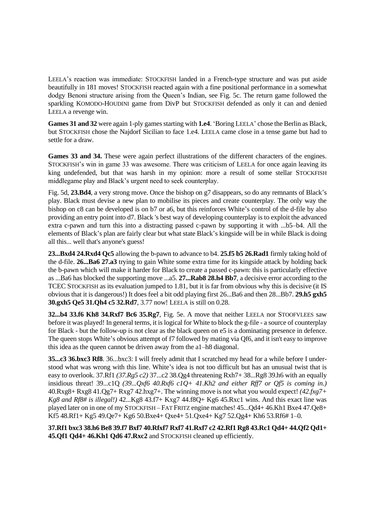LEELA's reaction was immediate: STOCKFISH landed in a French-type structure and was put aside beautifully in 181 moves! STOCKFISH reacted again with a fine positional performance in a somewhat dodgy Benoni structure arising from the Queen's Indian, see Fig. 5c. The return game followed the sparkling KOMODO-HOUDINI game from DivP but STOCKFISH defended as only it can and denied LEELA a revenge win.

**Games 31 and 32** were again 1-ply games starting with **1.e4**. 'Boring LEELA' chose the Berlin as Black, but STOCKFISH chose the Najdorf Sicilian to face 1.e4. LEELA came close in a tense game but had to settle for a draw.

Games 33 and 34. These were again perfect illustrations of the different characters of the engines. STOCKFISH's win in game 33 was awesome. There was criticism of LEELA for once again leaving its king undefended, but that was harsh in my opinion: more a result of some stellar STOCKFISH middlegame play and Black's urgent need to seek counterplay.

Fig. 5d, **23.Bd4**, a very strong move. Once the bishop on g7 disappears, so do any remnants of Black's play. Black must devise a new plan to mobilise its pieces and create counterplay. The only way the bishop on c8 can be developed is on b7 or a6, but this reinforces White's control of the d-file by also providing an entry point into d7. Black 's best way of developing counterplay is to exploit the advanced extra c-pawn and turn this into a distracting passed c-pawn by supporting it with ...b5–b4. All the elements of Black's plan are fairly clear but what state Black's kingside will be in while Black is doing all this... well that's anyone's guess!

**23...Bxd4 24.Rxd4 Qc5** allowing the b-pawn to advance to b4. **25.f5 b5 26.Rad1** firmly taking hold of the d-file. **26...Ba6 27.a3** trying to gain White some extra time for its kingside attack by holding back the b-pawn which will make it harder for Black to create a passed c-pawn: this is particularly effective as ...Ba6 has blocked the supporting move ...a5. **27...Rab8 28.h4 Bb7**, a decisive error according to the TCEC STOCKFISH as its evaluation jumped to 1.81, but it is far from obvious why this is decisive (it IS obvious that it is dangerous!) It does feel a bit odd playing first 26...Ba6 and then 28...Bb7. **29.h5 gxh5 30.gxh5 Qe5 31.Qh4 c5 32.Rd7**, 3.77 now! LEELA is still on 0.28.

**32...b4 33.f6 Kh8 34.Rxf7 Bc6 35.Rg7**, Fig. 5e. A move that neither LEELA nor STOOFVLEES saw before it was played! In general terms, it is logical for White to block the g-file - a source of counterplay for Black - but the follow-up is not clear as the black queen on e5 is a dominating presence in defence. The queen stops White's obvious attempt of f7 followed by mating via Qf6, and it isn't easy to improve this idea as the queen cannot be driven away from the a1–h8 diagonal.

**35...c3 36.bxc3 Rf8**. 36...bxc3: I will freely admit that I scratched my head for a while before I understood what was wrong with this line. White's idea is not too difficult but has an unusual twist that is easy to overlook. 37.Rf1 *(37.Rg5 c2)* 37...c2 38.Qg4 threatening Rxh7+ 38...Rg8 39.h6 with an equally insidious threat! 39...c1Q *(39...Qxf6 40.Rxf6 c1Q+ 41.Kh2 and either Rff7 or Qf5 is coming in.)* 40.Rxg8+ Rxg8 41.Qg7+ Rxg7 42.hxg7+. The winning move is not what you would expect! *(42.fxg7+ Kg8 and Rf8# is illegal!)* 42...Kg8 43.f7+ Kxg7 44.f8Q+ Kg6 45.Rxc1 wins. And this exact line was played later on in one of my STOCKFISH – FAT FRITZ engine matches! 45...Qd4+ 46.Kh1 Bxe4 47.Qe8+ Kf5 48.Rf1+ Kg5 49.Qe7+ Kg6 50.Bxe4+ Qxe4+ 51.Qxe4+ Kg7 52.Qg4+ Kh6 53.Rf6# 1–0.

**37.Rf1 bxc3 38.h6 Be8 39.f7 Bxf7 40.Rfxf7 Rxf7 41.Rxf7 c2 42.Rf1 Rg8 43.Rc1 Qd4+ 44.Qf2 Qd1+ 45.Qf1 Qd4+ 46.Kh1 Qd6 47.Rxc2** and STOCKFISH cleaned up efficiently.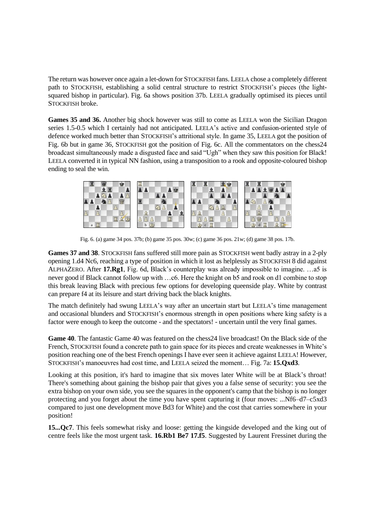The return was however once again a let-down for STOCKFISH fans. LEELA chose a completely different path to STOCKFISH, establishing a solid central structure to restrict STOCKFISH's pieces (the lightsquared bishop in particular). Fig. 6a shows position 37b. LEELA gradually optimised its pieces until STOCKFISH broke.

Games 35 and 36. Another big shock however was still to come as LEELA won the Sicilian Dragon series 1.5-0.5 which I certainly had not anticipated. LEELA's active and confusion-oriented style of defence worked much better than STOCKFISH's attritional style. In game 35, LEELA got the position of Fig. 6b but in game 36, STOCKFISH got the position of Fig. 6c. All the commentators on the chess24 broadcast simultaneously made a disgusted face and said "Ugh" when they saw this position for Black! LEELA converted it in typical NN fashion, using a transposition to a rook and opposite-coloured bishop ending to seal the win.



Fig. 6. (a) game 34 pos. 37b; (b) game 35 pos. 30w; (c) game 36 pos. 21w; (d) game 38 pos. 17b.

**Games 37 and 38**. STOCKFISH fans suffered still more pain as STOCKFISH went badly astray in a 2-ply opening 1.d4 Nc6, reaching a type of position in which it lost as helplessly as STOCKFISH 8 did against ALPHAZERO. After **17.Rg1**, Fig. 6d, Black's counterplay was already impossible to imagine. …a5 is never good if Black cannot follow up with …c6. Here the knight on b5 and rook on d1 combine to stop this break leaving Black with precious few options for developing queenside play. White by contrast can prepare f4 at its leisure and start driving back the black knights.

The match definitely had swung LEELA's way after an uncertain start but LEELA's time management and occasional blunders and STOCKFISH's enormous strength in open positions where king safety is a factor were enough to keep the outcome - and the spectators! - uncertain until the very final games.

**Game 40**. The fantastic Game 40 was featured on the chess24 live broadcast! On the Black side of the French, STOCKFISH found a concrete path to gain space for its pieces and create weaknesses in White's position reaching one of the best French openings I have ever seen it achieve against LEELA! However, STOCKFISH's manoeuvres had cost time, and LEELA seized the moment… Fig. 7a: **15.Qxd3**.

Looking at this position, it's hard to imagine that six moves later White will be at Black's throat! There's something about gaining the bishop pair that gives you a false sense of security: you see the extra bishop on your own side, you see the squares in the opponent's camp that the bishop is no longer protecting and you forget about the time you have spent capturing it (four moves: ...Nf6–d7–c5xd3 compared to just one development move Bd3 for White) and the cost that carries somewhere in your position!

**15...Qc7**. This feels somewhat risky and loose: getting the kingside developed and the king out of centre feels like the most urgent task. **16.Rb1 Be7 17.f5**. Suggested by Laurent Fressinet during the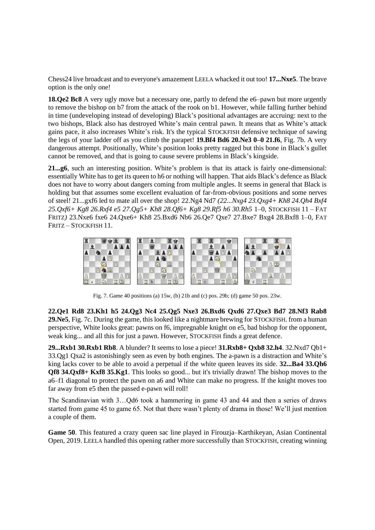Chess24 live broadcast and to everyone's amazement LEELA whacked it out too! **17...Nxe5**. The brave option is the only one!

**18.Qe2 Bc8** A very ugly move but a necessary one, partly to defend the e6–pawn but more urgently to remove the bishop on b7 from the attack of the rook on b1. However, while falling further behind in time (undeveloping instead of developing) Black's positional advantages are accruing: next to the two bishops, Black also has destroyed White's main central pawn. It means that as White's attack gains pace, it also increases White's risk. It's the typical STOCKFISH defensive technique of sawing the legs of your ladder off as you climb the parapet! **19.Bf4 Bd6 20.Ne3 0–0 21.f6**, Fig. 7b. A very dangerous attempt. Positionally, White's position looks pretty ragged but this bone in Black's gullet cannot be removed, and that is going to cause severe problems in Black's kingside.

**21...g6**, such an interesting position. White's problem is that its attack is fairly one-dimensional: essentially White has to get its queen to h6 or nothing will happen. That aids Black's defence as Black does not have to worry about dangers coming from multiple angles. It seems in general that Black is holding but that assumes some excellent evaluation of far-from-obvious positions and some nerves of steel! 21...gxf6 led to mate all over the shop! 22.Ng4 Nd7 *(22...Nxg4 23.Qxg4+ Kh8 24.Qh4 Bxf4 25.Qxf6+ Kg8 26.Rxf4 e5 27.Qg5+ Kh8 28.Qf6+ Kg8 29.Rf5 h6 30.Rh5* 1–0, STOCKFISH 11 – FAT FRITZ*)* 23.Nxe6 fxe6 24.Qxe6+ Kh8 25.Bxd6 Nb6 26.Qe7 Qxe7 27.Bxe7 Bxg4 28.Bxf8 1–0, FAT FRITZ – STOCKFISH 11.



Fig. 7. Game 40 positions (a) 15w, (b) 21b and (c) pos. 29b; (d) game 50 pos. 23w.

**22.Qe1 Rd8 23.Kh1 h5 24.Qg3 Nc4 25.Qg5 Nxe3 26.Bxd6 Qxd6 27.Qxe3 Bd7 28.Nf3 Rab8 29.Ne5**, Fig. 7c. During the game, this looked like a nightmare brewing for STOCKFISH. from a human perspective, White looks great: pawns on f6, impregnable knight on e5, bad bishop for the opponent, weak king... and all this for just a pawn. However, STOCKFISH finds a great defence.

**29...Rxb1 30.Rxb1 Rb8**. A blunder? It seems to lose a piece! **31.Rxb8+ Qxb8 32.h4**. 32.Nxd7 Qb1+ 33.Qg1 Qxa2 is astonishingly seen as even by both engines. The a-pawn is a distraction and White's king lacks cover to be able to avoid a perpetual if the white queen leaves its side. **32...Ba4 33.Qh6 Qf8 34.Qxf8+ Kxf8 35.Kg1**. This looks so good... but it's trivially drawn! The bishop moves to the a6–f1 diagonal to protect the pawn on a6 and White can make no progress. If the knight moves too far away from e5 then the passed e-pawn will roll!

The Scandinavian with 3…Qd6 took a hammering in game 43 and 44 and then a series of draws started from game 45 to game 65. Not that there wasn't plenty of drama in those! We'll just mention a couple of them.

**Game 50**. This featured a crazy queen sac line played in Firouzja–Karthikeyan, Asian Continental Open, 2019. LEELA handled this opening rather more successfully than STOCKFISH, creating winning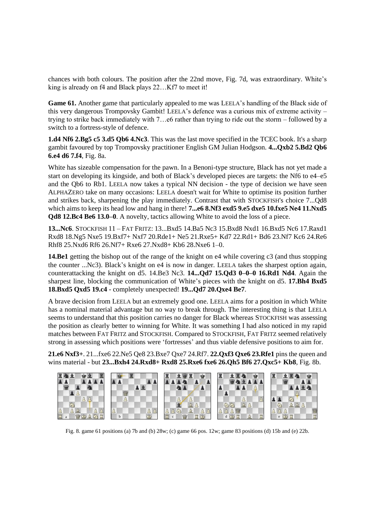chances with both colours. The position after the 22nd move, Fig. 7d, was extraordinary. White's king is already on f4 and Black plays 22…Kf7 to meet it!

**Game 61.** Another game that particularly appealed to me was LEELA's handling of the Black side of this very dangerous Trompovsky Gambit! LEELA's defence was a curious mix of extreme activity – trying to strike back immediately with 7…e6 rather than trying to ride out the storm – followed by a switch to a fortress-style of defence.

**1.d4 Nf6 2.Bg5 c5 3.d5 Qb6 4.Nc3**. This was the last move specified in the TCEC book. It's a sharp gambit favoured by top Trompovsky practitioner English GM Julian Hodgson. **4...Qxb2 5.Bd2 Qb6 6.e4 d6 7.f4**, Fig. 8a.

White has sizeable compensation for the pawn. In a Benoni-type structure, Black has not yet made a start on developing its kingside, and both of Black's developed pieces are targets: the Nf6 to e4–e5 and the Qb6 to Rb1. LEELA now takes a typical NN decision - the type of decision we have seen ALPHAZERO take on many occasions: LEELA doesn't wait for White to optimise its position further and strikes back, sharpening the play immediately. Contrast that with STOCKFISH's choice 7...Qd8 which aims to keep its head low and hang in there! **7...e6 8.Nf3 exd5 9.e5 dxe5 10.fxe5 Ne4 11.Nxd5 Qd8 12.Bc4 Be6 13.0–0**. A novelty, tactics allowing White to avoid the loss of a piece.

**13...Nc6**. STOCKFISH 11 – FAT FRITZ: 13...Bxd5 14.Ba5 Nc3 15.Bxd8 Nxd1 16.Bxd5 Nc6 17.Raxd1 Rxd8 18.Ng5 Nxe5 19.Bxf7+ Nxf7 20.Rde1+ Ne5 21.Rxe5+ Kd7 22.Rd1+ Bd6 23.Nf7 Kc6 24.Re6 Rhf8 25.Nxd6 Rf6 26.Nf7+ Rxe6 27.Nxd8+ Kb6 28.Nxe6 1–0.

**14.Be1** getting the bishop out of the range of the knight on e4 while covering c3 (and thus stopping the counter ...Nc3). Black's knight on e4 is now in danger. LEELA takes the sharpest option again, counterattacking the knight on d5. 14.Be3 Nc3. **14...Qd7 15.Qd3 0–0–0 16.Rd1 Nd4**. Again the sharpest line, blocking the communication of White's pieces with the knight on d5. **17.Bh4 Bxd5 18.Bxd5 Qxd5 19.c4** - completely unexpected! **19...Qd7 20.Qxe4 Be7**.

A brave decision from LEELA but an extremely good one. LEELA aims for a position in which White has a nominal material advantage but no way to break through. The interesting thing is that LEELA seems to understand that this position carries no danger for Black whereas STOCKFISH was assessing the position as clearly better to winning for White. It was something I had also noticed in my rapid matches between FAT FRITZ and STOCKFISH. Compared to STOCKFISH, FAT FRITZ seemed relatively strong in assessing which positions were 'fortresses' and thus viable defensive positions to aim for.

**21.e6 Nxf3+**. 21...fxe6 22.Ne5 Qe8 23.Bxe7 Qxe7 24.Rf7. **22.Qxf3 Qxe6 23.Rfe1** pins the queen and wins material - but **23...Bxh4 24.Rxd8+ Rxd8 25.Rxe6 fxe6 26.Qh5 Bf6 27.Qxc5+ Kb8**, Fig. 8b.



Fig. 8. game 61 positions (a) 7b and (b) 28w; (c) game 66 pos. 12w; game 83 positions (d) 15b and (e) 22b.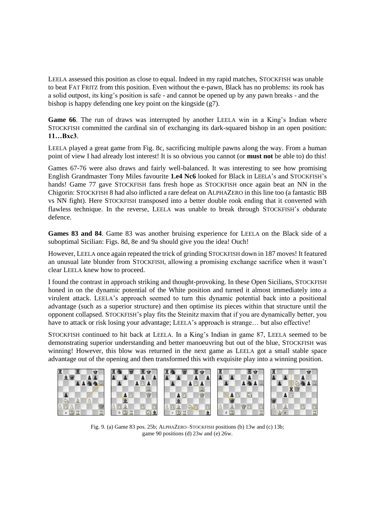LEELA assessed this position as close to equal. Indeed in my rapid matches, STOCKFISH was unable to beat FAT FRITZ from this position. Even without the e-pawn, Black has no problems: its rook has a solid outpost, its king's position is safe - and cannot be opened up by any pawn breaks - and the bishop is happy defending one key point on the kingside (g7).

Game 66. The run of draws was interrupted by another LEELA win in a King's Indian where STOCKFISH committed the cardinal sin of exchanging its dark-squared bishop in an open position: **11…Bxc3**.

LEELA played a great game from Fig. 8c, sacrificing multiple pawns along the way. From a human point of view I had already lost interest! It is so obvious you cannot (or **must not** be able to) do this!

Games 67-76 were also draws and fairly well-balanced. It was interesting to see how promising English Grandmaster Tony Miles favourite **1.e4 Nc6** looked for Black in LEELA's and STOCKFISH's hands! Game 77 gave STOCKFISH fans fresh hope as STOCKFISH once again beat an NN in the Chigorin: STOCKFISH 8 had also inflicted a rare defeat on ALPHAZERO in this line too (a fantastic BB vs NN fight). Here STOCKFISH transposed into a better double rook ending that it converted with flawless technique. In the reverse, LEELA was unable to break through STOCKFISH's obdurate defence.

**Games 83 and 84**. Game 83 was another bruising experience for LEELA on the Black side of a suboptimal Sicilian: Figs. 8d, 8e and 9a should give you the idea! Ouch!

However, LEELA once again repeated the trick of grinding STOCKFISH down in 187 moves! It featured an unusual late blunder from STOCKFISH, allowing a promising exchange sacrifice when it wasn't clear LEELA knew how to proceed.

I found the contrast in approach striking and thought-provoking. In these Open Sicilians, STOCKFISH honed in on the dynamic potential of the White position and turned it almost immediately into a virulent attack. LEELA's approach seemed to turn this dynamic potential back into a positional advantage (such as a superior structure) and then optimise its pieces within that structure until the opponent collapsed. STOCKFISH's play fits the Steinitz maxim that if you are dynamically better, you have to attack or risk losing your advantage; LEELA's approach is strange... but also effective!

STOCKFISH continued to hit back at LEELA. In a King's Indian in game 87, LEELA seemed to be demonstrating superior understanding and better manoeuvring but out of the blue, STOCKFISH was winning! However, this blow was returned in the next game as LEELA got a small stable space advantage out of the opening and then transformed this with exquisite play into a winning position.



Fig. 9. (a) Game 83 pos. 25b; ALPHAZERO–STOCKFISH positions (b) 13w and (c) 13b; game 90 positions (d) 23w and (e) 26w.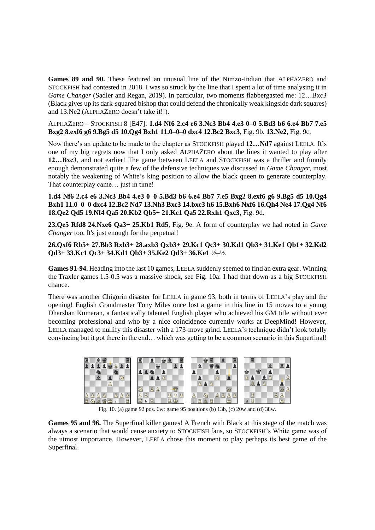**Games 89 and 90.** These featured an unusual line of the Nimzo-Indian that ALPHAZERO and STOCKFISH had contested in 2018. I was so struck by the line that I spent a lot of time analysing it in *Game Changer* (Sadler and Regan, 2019). In particular, two moments flabbergasted me: 12…Bxc3 (Black gives up its dark-squared bishop that could defend the chronically weak kingside dark squares) and 13.Ne2 (ALPHAZERO doesn't take it!!).

ALPHAZERO – STOCKFISH 8 [E47]: **1.d4 Nf6 2.c4 e6 3.Nc3 Bb4 4.e3 0–0 5.Bd3 b6 6.e4 Bb7 7.e5 Bxg2 8.exf6 g6 9.Bg5 d5 10.Qg4 Bxh1 11.0–0–0 dxc4 12.Bc2 Bxc3**, Fig. 9b. **13.Ne2**, Fig. 9c.

Now there's an update to be made to the chapter as STOCKFISH played **12…Nd7** against LEELA. It's one of my big regrets now that I only asked ALPHAZERO about the lines it wanted to play after **12…Bxc3**, and not earlier! The game between LEELA and STOCKFISH was a thriller and funnily enough demonstrated quite a few of the defensive techniques we discussed in *Game Changer*, most notably the weakening of White's king position to allow the black queen to generate counterplay. That counterplay came… just in time!

## **1.d4 Nf6 2.c4 e6 3.Nc3 Bb4 4.e3 0–0 5.Bd3 b6 6.e4 Bb7 7.e5 Bxg2 8.exf6 g6 9.Bg5 d5 10.Qg4 Bxh1 11.0–0–0 dxc4 12.Bc2 Nd7 13.Nh3 Bxc3 14.bxc3 h6 15.Bxh6 Nxf6 16.Qh4 Ne4 17.Qg4 Nf6 18.Qe2 Qd5 19.Nf4 Qa5 20.Kb2 Qb5+ 21.Kc1 Qa5 22.Rxh1 Qxc3**, Fig. 9d.

**23.Qe5 Rfd8 24.Nxe6 Qa3+ 25.Kb1 Rd5**, Fig. 9e. A form of counterplay we had noted in *Game Changer* too. It's just enough for the perpetual!

**26.Qxf6 Rb5+ 27.Bb3 Rxb3+ 28.axb3 Qxb3+ 29.Kc1 Qc3+ 30.Kd1 Qb3+ 31.Ke1 Qb1+ 32.Kd2 Qd3+ 33.Kc1 Qc3+ 34.Kd1 Qb3+ 35.Ke2 Qd3+ 36.Ke1** ½–½.

**Games 91-94.** Heading into the last 10 games, LEELA suddenly seemed to find an extra gear. Winning the Traxler games 1.5-0.5 was a massive shock, see Fig. 10a: I had that down as a big STOCKFISH chance.

There was another Chigorin disaster for LEELA in game 93, both in terms of LEELA's play and the opening! English Grandmaster Tony Miles once lost a game in this line in 15 moves to a young Dharshan Kumaran, a fantastically talented English player who achieved his GM title without ever becoming professional and who by a nice coincidence currently works at DeepMind! However, LEELA managed to nullify this disaster with a 173-move grind. LEELA's technique didn't look totally convincing but it got there in the end… which was getting to be a common scenario in this Superfinal!



Fig. 10. (a) game 92 pos. 6w; game 95 positions (b) 13b, (c) 20w and (d) 38w.

**Games 95 and 96.** The Superfinal killer games! A French with Black at this stage of the match was always a scenario that would cause anxiety to STOCKFISH fans, so STOCKFISH's White game was of the utmost importance. However, LEELA chose this moment to play perhaps its best game of the Superfinal.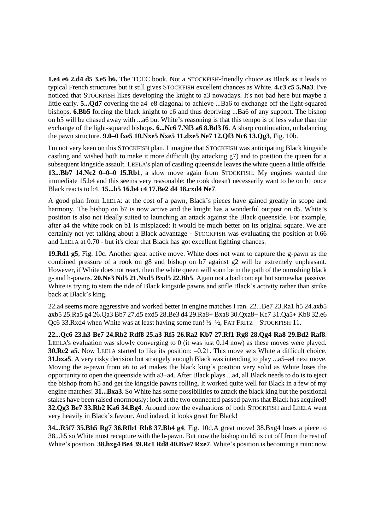**1.e4 e6 2.d4 d5 3.e5 b6.** The TCEC book. Not a STOCKFISH-friendly choice as Black as it leads to typical French structures but it still gives STOCKFISH excellent chances as White. **4.c3 c5 5.Na3**. I've noticed that STOCKFISH likes developing the knight to a3 nowadays. It's not bad here but maybe a little early. **5...Qd7** covering the a4–e8 diagonal to achieve ...Ba6 to exchange off the light-squared bishops. **6.Bb5 f**orcing the black knight to c6 and thus depriving ...Ba6 of any support. The bishop on b5 will be chased away with ...a6 but White's reasoning is that this tempo is of less value than the exchange of the light-squared bishops. **6...Nc6 7.Nf3 a6 8.Bd3 f6**. A sharp continuation, unbalancing the pawn structure. **9.0–0 fxe5 10.Nxe5 Nxe5 11.dxe5 Ne7 12.Qf3 Nc6 13.Qg3**, Fig. 10b.

I'm not very keen on this STOCKFISH plan. I imagine that STOCKFISH was anticipating Black kingside castling and wished both to make it more difficult (by attacking g7) and to position the queen for a subsequent kingside assault. LEELA's plan of castling queenside leaves the white queen a little offside. **13...Bb7 14.Nc2 0–0–0 15.Rb1**, a slow move again from STOCKFISH. My engines wanted the immediate 15.b4 and this seems very reasonable: the rook doesn't necessarily want to be on b1 once Black reacts to b4. **15...b5 16.b4 c4 17.Be2 d4 18.cxd4 Ne7**.

A good plan from LEELA: at the cost of a pawn, Black's pieces have gained greatly in scope and harmony. The bishop on b7 is now active and the knight has a wonderful outpost on d5. White's position is also not ideally suited to launching an attack against the Black queenside. For example, after a4 the white rook on b1 is misplaced: it would be much better on its original square. We are certainly not yet talking about a Black advantage - STOCKFISH was evaluating the position at 0.66 and LEELA at 0.70 - but it's clear that Black has got excellent fighting chances.

**19.Rd1 g5**, Fig. 10c. Another great active move. White does not want to capture the g-pawn as the combined pressure of a rook on g8 and bishop on b7 against g2 will be extremely unpleasant. However, if White does not react, then the white queen will soon be in the path of the onrushing black g- and h-pawns. **20.Ne3 Nd5 21.Nxd5 Bxd5 22.Bh5**. Again not a bad concept but somewhat passive. White is trying to stem the tide of Black kingside pawns and stifle Black's activity rather than strike back at Black's king.

22.a4 seems more aggressive and worked better in engine matches I ran. 22...Be7 23.Ra1 h5 24.axb5 axb5 25.Ra5 g4 26.Qa3 Bb7 27.d5 exd5 28.Be3 d4 29.Ra8+ Bxa8 30.Qxa8+ Kc7 31.Qa5+ Kb8 32.e6 Qc6 33.Rxd4 when White was at least having some fun! ½–½, FAT FRITZ – STOCKFISH 11.

**22...Qc6 23.h3 Be7 24.Rb2 Rdf8 25.a3 Rf5 26.Ra2 Kb7 27.Rf1 Rg8 28.Qg4 Ra8 29.Bd2 Raf8**. LEELA's evaluation was slowly converging to 0 (it was just 0.14 now) as these moves were played. **30.Rc2 a5**. Now LEELA started to like its position: –0.21. This move sets White a difficult choice. **31.bxa5**. A very risky decision but strangely enough Black was intending to play ...a5–a4 next move. Moving the a-pawn from a6 to a4 makes the black king's position very solid as White loses the opportunity to open the queenside with a3–a4. After Black plays ...a4, all Black needs to do is to eject the bishop from h5 and get the kingside pawns rolling. It worked quite well for Black in a few of my engine matches! **31...Bxa3**. So White has some possibilities to attack the black king but the positional stakes have been raised enormously: look at the two connected passed pawns that Black has acquired! **32.Qg3 Be7 33.Rb2 Ka6 34.Bg4**. Around now the evaluations of both STOCKFISH and LEELA went very heavily in Black's favour. And indeed, it looks great for Black!

**34...R5f7 35.Bh5 Rg7 36.Rfb1 Rb8 37.Bb4 g4**, Fig. 10d.A great move! 38.Bxg4 loses a piece to 38...h5 so White must recapture with the h-pawn. But now the bishop on h5 is cut off from the rest of White's position. **38.hxg4 Be4 39.Rc1 Rd8 40.Bxe7 Rxe7**. White's position is becoming a ruin: now